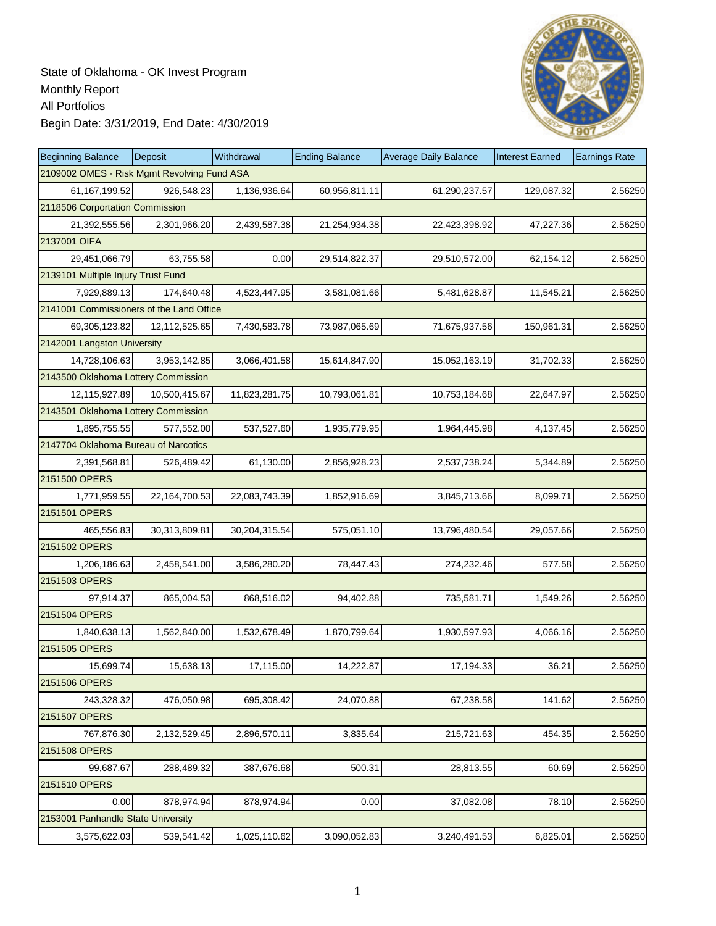

| <b>Beginning Balance</b>                    | Deposit          | Withdrawal    | <b>Ending Balance</b> | <b>Average Daily Balance</b> | <b>Interest Earned</b> | <b>Earnings Rate</b> |
|---------------------------------------------|------------------|---------------|-----------------------|------------------------------|------------------------|----------------------|
| 2109002 OMES - Risk Mgmt Revolving Fund ASA |                  |               |                       |                              |                        |                      |
| 61,167,199.52                               | 926,548.23       | 1,136,936.64  | 60,956,811.11         | 61,290,237.57                | 129,087.32             | 2.56250              |
| 2118506 Corportation Commission             |                  |               |                       |                              |                        |                      |
| 21,392,555.56                               | 2,301,966.20     | 2,439,587.38  | 21,254,934.38         | 22,423,398.92                | 47,227.36              | 2.56250              |
| 2137001 OIFA                                |                  |               |                       |                              |                        |                      |
| 29,451,066.79                               | 63,755.58        | 0.00          | 29,514,822.37         | 29,510,572.00                | 62,154.12              | 2.56250              |
| 2139101 Multiple Injury Trust Fund          |                  |               |                       |                              |                        |                      |
| 7,929,889.13                                | 174,640.48       | 4,523,447.95  | 3,581,081.66          | 5,481,628.87                 | 11,545.21              | 2.56250              |
| 2141001 Commissioners of the Land Office    |                  |               |                       |                              |                        |                      |
| 69,305,123.82                               | 12,112,525.65    | 7,430,583.78  | 73,987,065.69         | 71,675,937.56                | 150,961.31             | 2.56250              |
| 2142001 Langston University                 |                  |               |                       |                              |                        |                      |
| 14,728,106.63                               | 3,953,142.85     | 3,066,401.58  | 15,614,847.90         | 15,052,163.19                | 31,702.33              | 2.56250              |
| 2143500 Oklahoma Lottery Commission         |                  |               |                       |                              |                        |                      |
| 12,115,927.89                               | 10,500,415.67    | 11,823,281.75 | 10,793,061.81         | 10,753,184.68                | 22,647.97              | 2.56250              |
| 2143501 Oklahoma Lottery Commission         |                  |               |                       |                              |                        |                      |
| 1.895.755.55                                | 577,552.00       | 537,527.60    | 1,935,779.95          | 1,964,445.98                 | 4,137.45               | 2.56250              |
| 2147704 Oklahoma Bureau of Narcotics        |                  |               |                       |                              |                        |                      |
| 2,391,568.81                                | 526,489.42       | 61,130.00     | 2,856,928.23          | 2,537,738.24                 | 5,344.89               | 2.56250              |
| 2151500 OPERS                               |                  |               |                       |                              |                        |                      |
| 1,771,959.55                                | 22, 164, 700. 53 | 22,083,743.39 | 1,852,916.69          | 3,845,713.66                 | 8,099.71               | 2.56250              |
| 2151501 OPERS                               |                  |               |                       |                              |                        |                      |
| 465,556.83                                  | 30,313,809.81    | 30,204,315.54 | 575,051.10            | 13,796,480.54                | 29,057.66              | 2.56250              |
| 2151502 OPERS                               |                  |               |                       |                              |                        |                      |
| 1,206,186.63                                | 2,458,541.00     | 3,586,280.20  | 78,447.43             | 274,232.46                   | 577.58                 | 2.56250              |
| 2151503 OPERS                               |                  |               |                       |                              |                        |                      |
| 97,914.37                                   | 865,004.53       | 868,516.02    | 94,402.88             | 735,581.71                   | 1,549.26               | 2.56250              |
| 2151504 OPERS                               |                  |               |                       |                              |                        |                      |
| 1,840,638.13                                | 1,562,840.00     | 1,532,678.49  | 1,870,799.64          | 1,930,597.93                 | 4,066.16               | 2.56250              |
| 2151505 OPERS                               |                  |               |                       |                              |                        |                      |
| 15,699.74                                   | 15,638.13        | 17,115.00     | 14,222.87             | 17,194.33                    | 36.21                  | 2.56250              |
| 2151506 OPERS                               |                  |               |                       |                              |                        |                      |
| 243,328.32                                  | 476,050.98       | 695,308.42    | 24,070.88             | 67,238.58                    | 141.62                 | 2.56250              |
| 2151507 OPERS                               |                  |               |                       |                              |                        |                      |
| 767,876.30                                  | 2,132,529.45     | 2,896,570.11  | 3,835.64              | 215,721.63                   | 454.35                 | 2.56250              |
| 2151508 OPERS                               |                  |               |                       |                              |                        |                      |
| 99,687.67                                   | 288,489.32       | 387,676.68    | 500.31                | 28,813.55                    | 60.69                  | 2.56250              |
| 2151510 OPERS                               |                  |               |                       |                              |                        |                      |
| 0.00                                        | 878,974.94       | 878,974.94    | 0.00                  | 37,082.08                    | 78.10                  | 2.56250              |
| 2153001 Panhandle State University          |                  |               |                       |                              |                        |                      |
| 3,575,622.03                                | 539,541.42       | 1,025,110.62  | 3,090,052.83          | 3,240,491.53                 | 6,825.01               | 2.56250              |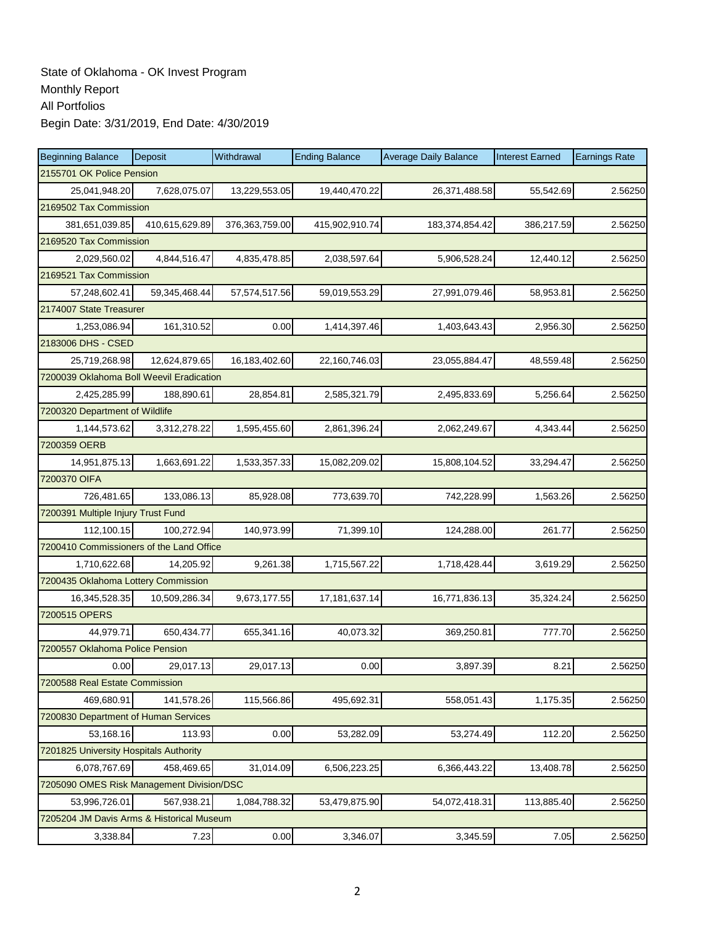| <b>Beginning Balance</b>                  | Deposit                | Withdrawal     | <b>Ending Balance</b> | <b>Average Daily Balance</b> | <b>Interest Earned</b> | <b>Earnings Rate</b> |  |  |  |  |
|-------------------------------------------|------------------------|----------------|-----------------------|------------------------------|------------------------|----------------------|--|--|--|--|
| 2155701 OK Police Pension                 |                        |                |                       |                              |                        |                      |  |  |  |  |
| 25,041,948.20                             | 7,628,075.07           | 13,229,553.05  | 19,440,470.22         | 26,371,488.58                | 55,542.69              | 2.56250              |  |  |  |  |
| 2169502 Tax Commission                    |                        |                |                       |                              |                        |                      |  |  |  |  |
| 381,651,039.85                            | 410,615,629.89         | 376,363,759.00 | 415,902,910.74        | 183,374,854.42               | 386,217.59             | 2.56250              |  |  |  |  |
|                                           | 2169520 Tax Commission |                |                       |                              |                        |                      |  |  |  |  |
| 2,029,560.02                              | 4,844,516.47           | 4,835,478.85   | 2,038,597.64          | 5,906,528.24                 | 12,440.12              | 2.56250              |  |  |  |  |
| 2169521 Tax Commission                    |                        |                |                       |                              |                        |                      |  |  |  |  |
| 57,248,602.41                             | 59,345,468.44          | 57,574,517.56  | 59,019,553.29         | 27,991,079.46                | 58,953.81              | 2.56250              |  |  |  |  |
| 2174007 State Treasurer                   |                        |                |                       |                              |                        |                      |  |  |  |  |
| 1,253,086.94                              | 161,310.52             | 0.00           | 1,414,397.46          | 1,403,643.43                 | 2,956.30               | 2.56250              |  |  |  |  |
| 2183006 DHS - CSED                        |                        |                |                       |                              |                        |                      |  |  |  |  |
| 25,719,268.98                             | 12,624,879.65          | 16,183,402.60  | 22,160,746.03         | 23,055,884.47                | 48,559.48              | 2.56250              |  |  |  |  |
| 7200039 Oklahoma Boll Weevil Eradication  |                        |                |                       |                              |                        |                      |  |  |  |  |
| 2,425,285.99                              | 188,890.61             | 28,854.81      | 2,585,321.79          | 2,495,833.69                 | 5,256.64               | 2.56250              |  |  |  |  |
| 7200320 Department of Wildlife            |                        |                |                       |                              |                        |                      |  |  |  |  |
| 1,144,573.62                              | 3,312,278.22           | 1,595,455.60   | 2,861,396.24          | 2,062,249.67                 | 4,343.44               | 2.56250              |  |  |  |  |
| 7200359 OERB                              |                        |                |                       |                              |                        |                      |  |  |  |  |
| 14,951,875.13                             | 1,663,691.22           | 1,533,357.33   | 15,082,209.02         | 15,808,104.52                | 33,294.47              | 2.56250              |  |  |  |  |
| 7200370 OIFA                              |                        |                |                       |                              |                        |                      |  |  |  |  |
| 726,481.65                                | 133,086.13             | 85,928.08      | 773,639.70            | 742,228.99                   | 1,563.26               | 2.56250              |  |  |  |  |
| 7200391 Multiple Injury Trust Fund        |                        |                |                       |                              |                        |                      |  |  |  |  |
| 112,100.15                                | 100,272.94             | 140,973.99     | 71,399.10             | 124,288.00                   | 261.77                 | 2.56250              |  |  |  |  |
| 7200410 Commissioners of the Land Office  |                        |                |                       |                              |                        |                      |  |  |  |  |
| 1,710,622.68                              | 14,205.92              | 9,261.38       | 1,715,567.22          | 1,718,428.44                 | 3,619.29               | 2.56250              |  |  |  |  |
| 7200435 Oklahoma Lottery Commission       |                        |                |                       |                              |                        |                      |  |  |  |  |
| 16,345,528.35                             | 10,509,286.34          | 9,673,177.55   | 17, 181, 637. 14      | 16,771,836.13                | 35,324.24              | 2.56250              |  |  |  |  |
| 7200515 OPERS                             |                        |                |                       |                              |                        |                      |  |  |  |  |
| 44,979.71                                 | 650,434.77             | 655,341.16     | 40,073.32             | 369,250.81                   | 777.70                 | 2.56250              |  |  |  |  |
| 7200557 Oklahoma Police Pension           |                        |                |                       |                              |                        |                      |  |  |  |  |
| 0.00                                      | 29,017.13              | 29,017.13      | 0.00                  | 3,897.39                     | 8.21                   | 2.56250              |  |  |  |  |
| 7200588 Real Estate Commission            |                        |                |                       |                              |                        |                      |  |  |  |  |
| 469,680.91                                | 141,578.26             | 115,566.86     | 495,692.31            | 558,051.43                   | 1,175.35               | 2.56250              |  |  |  |  |
| 7200830 Department of Human Services      |                        |                |                       |                              |                        |                      |  |  |  |  |
| 53,168.16                                 | 113.93                 | 0.00           | 53,282.09             | 53,274.49                    | 112.20                 | 2.56250              |  |  |  |  |
| 7201825 University Hospitals Authority    |                        |                |                       |                              |                        |                      |  |  |  |  |
| 6,078,767.69                              | 458,469.65             | 31,014.09      | 6,506,223.25          | 6,366,443.22                 | 13,408.78              | 2.56250              |  |  |  |  |
| 7205090 OMES Risk Management Division/DSC |                        |                |                       |                              |                        |                      |  |  |  |  |
| 53,996,726.01                             | 567,938.21             | 1,084,788.32   | 53,479,875.90         | 54,072,418.31                | 113,885.40             | 2.56250              |  |  |  |  |
| 7205204 JM Davis Arms & Historical Museum |                        |                |                       |                              |                        |                      |  |  |  |  |
| 3,338.84                                  | 7.23                   | 0.00           | 3,346.07              | 3,345.59                     | 7.05                   | 2.56250              |  |  |  |  |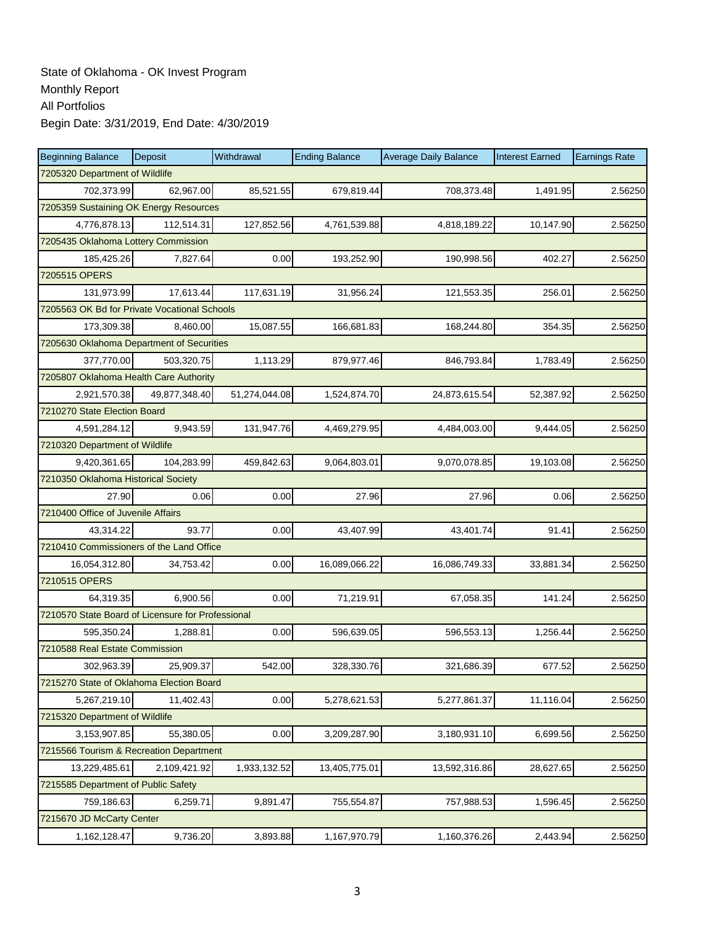| <b>Beginning Balance</b>                          | Deposit       | Withdrawal    | <b>Ending Balance</b> | <b>Average Daily Balance</b> | <b>Interest Earned</b> | <b>Earnings Rate</b> |  |  |  |
|---------------------------------------------------|---------------|---------------|-----------------------|------------------------------|------------------------|----------------------|--|--|--|
| 7205320 Department of Wildlife                    |               |               |                       |                              |                        |                      |  |  |  |
| 702,373.99                                        | 62,967.00     | 85,521.55     | 679,819.44            | 708,373.48                   | 1,491.95               | 2.56250              |  |  |  |
| 7205359 Sustaining OK Energy Resources            |               |               |                       |                              |                        |                      |  |  |  |
| 4,776,878.13                                      | 112,514.31    | 127,852.56    | 4,761,539.88          | 4,818,189.22                 | 10,147.90              | 2.56250              |  |  |  |
| 7205435 Oklahoma Lottery Commission               |               |               |                       |                              |                        |                      |  |  |  |
| 185,425.26                                        | 7,827.64      | 0.00          | 193,252.90            | 190,998.56                   | 402.27                 | 2.56250              |  |  |  |
| 7205515 OPERS                                     |               |               |                       |                              |                        |                      |  |  |  |
| 131,973.99                                        | 17,613.44     | 117,631.19    | 31,956.24             | 121,553.35                   | 256.01                 | 2.56250              |  |  |  |
| 7205563 OK Bd for Private Vocational Schools      |               |               |                       |                              |                        |                      |  |  |  |
| 173,309.38                                        | 8.460.00      | 15,087.55     | 166,681.83            | 168,244.80                   | 354.35                 | 2.56250              |  |  |  |
| 7205630 Oklahoma Department of Securities         |               |               |                       |                              |                        |                      |  |  |  |
| 377,770.00                                        | 503,320.75    | 1,113.29      | 879,977.46            | 846,793.84                   | 1,783.49               | 2.56250              |  |  |  |
| 7205807 Oklahoma Health Care Authority            |               |               |                       |                              |                        |                      |  |  |  |
| 2.921.570.38                                      | 49,877,348.40 | 51,274,044.08 | 1,524,874.70          | 24,873,615.54                | 52,387.92              | 2.56250              |  |  |  |
| 7210270 State Election Board                      |               |               |                       |                              |                        |                      |  |  |  |
| 4,591,284.12                                      | 9,943.59      | 131,947.76    | 4,469,279.95          | 4,484,003.00                 | 9,444.05               | 2.56250              |  |  |  |
| 7210320 Department of Wildlife                    |               |               |                       |                              |                        |                      |  |  |  |
| 9,420,361.65                                      | 104,283.99    | 459,842.63    | 9,064,803.01          | 9,070,078.85                 | 19,103.08              | 2.56250              |  |  |  |
| 7210350 Oklahoma Historical Society               |               |               |                       |                              |                        |                      |  |  |  |
| 27.90                                             | 0.06          | 0.00          | 27.96                 | 27.96                        | 0.06                   | 2.56250              |  |  |  |
| 7210400 Office of Juvenile Affairs                |               |               |                       |                              |                        |                      |  |  |  |
| 43,314.22                                         | 93.77         | 0.00          | 43,407.99             | 43,401.74                    | 91.41                  | 2.56250              |  |  |  |
| 7210410 Commissioners of the Land Office          |               |               |                       |                              |                        |                      |  |  |  |
| 16,054,312.80                                     | 34,753.42     | 0.00          | 16,089,066.22         | 16,086,749.33                | 33,881.34              | 2.56250              |  |  |  |
| 7210515 OPERS                                     |               |               |                       |                              |                        |                      |  |  |  |
| 64,319.35                                         | 6,900.56      | 0.00          | 71,219.91             | 67,058.35                    | 141.24                 | 2.56250              |  |  |  |
| 7210570 State Board of Licensure for Professional |               |               |                       |                              |                        |                      |  |  |  |
| 595,350.24                                        | 1,288.81      | 0.00          | 596,639.05            | 596,553.13                   | 1,256.44               | 2.56250              |  |  |  |
| 7210588 Real Estate Commission                    |               |               |                       |                              |                        |                      |  |  |  |
| 302,963.39                                        | 25,909.37     | 542.00        | 328,330.76            | 321,686.39                   | 677.52                 | 2.56250              |  |  |  |
| 7215270 State of Oklahoma Election Board          |               |               |                       |                              |                        |                      |  |  |  |
| 5,267,219.10                                      | 11,402.43     | 0.00          | 5,278,621.53          | 5,277,861.37                 | 11,116.04              | 2.56250              |  |  |  |
| 7215320 Department of Wildlife                    |               |               |                       |                              |                        |                      |  |  |  |
| 3,153,907.85                                      | 55,380.05     | 0.00          | 3,209,287.90          | 3,180,931.10                 | 6,699.56               | 2.56250              |  |  |  |
| 7215566 Tourism & Recreation Department           |               |               |                       |                              |                        |                      |  |  |  |
| 13,229,485.61                                     | 2,109,421.92  | 1,933,132.52  | 13,405,775.01         | 13,592,316.86                | 28,627.65              | 2.56250              |  |  |  |
| 7215585 Department of Public Safety               |               |               |                       |                              |                        |                      |  |  |  |
| 759,186.63                                        | 6,259.71      | 9,891.47      | 755,554.87            | 757,988.53                   | 1,596.45               | 2.56250              |  |  |  |
| 7215670 JD McCarty Center                         |               |               |                       |                              |                        |                      |  |  |  |
| 1,162,128.47                                      | 9,736.20      | 3,893.88      | 1,167,970.79          | 1,160,376.26                 | 2,443.94               | 2.56250              |  |  |  |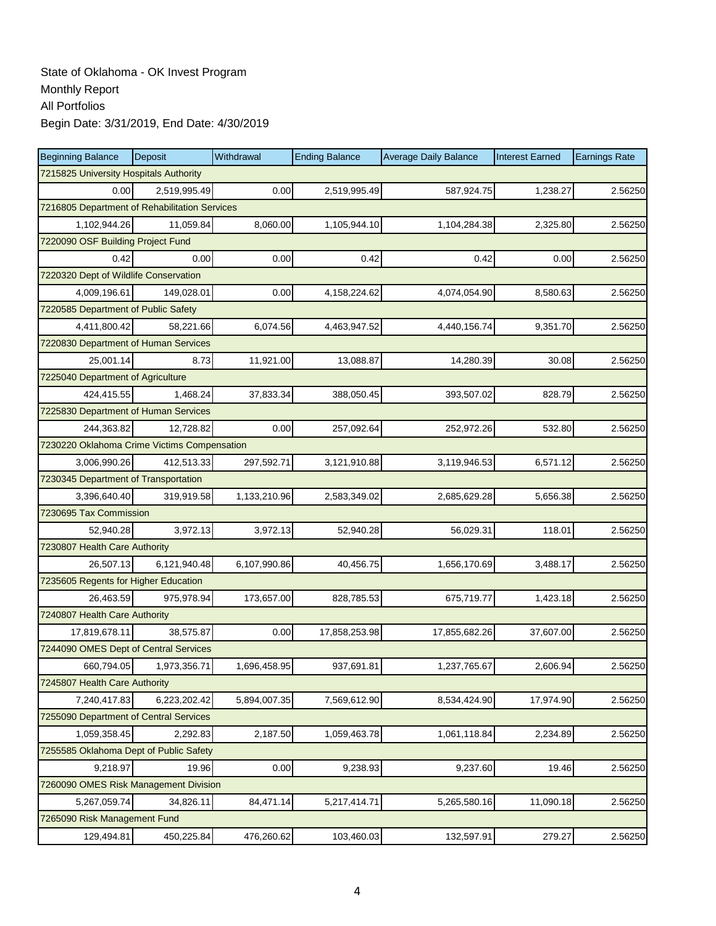| <b>Beginning Balance</b>                      | Deposit      | Withdrawal   | <b>Ending Balance</b> | <b>Average Daily Balance</b> | <b>Interest Earned</b> | <b>Earnings Rate</b> |
|-----------------------------------------------|--------------|--------------|-----------------------|------------------------------|------------------------|----------------------|
| 7215825 University Hospitals Authority        |              |              |                       |                              |                        |                      |
| 0.00                                          | 2,519,995.49 | 0.00         | 2,519,995.49          | 587,924.75                   | 1,238.27               | 2.56250              |
| 7216805 Department of Rehabilitation Services |              |              |                       |                              |                        |                      |
| 1,102,944.26                                  | 11,059.84    | 8,060.00     | 1,105,944.10          | 1,104,284.38                 | 2,325.80               | 2.56250              |
| 7220090 OSF Building Project Fund             |              |              |                       |                              |                        |                      |
| 0.42                                          | 0.00         | 0.00         | 0.42                  | 0.42                         | 0.00                   | 2.56250              |
| 7220320 Dept of Wildlife Conservation         |              |              |                       |                              |                        |                      |
| 4,009,196.61                                  | 149,028.01   | 0.00         | 4,158,224.62          | 4,074,054.90                 | 8,580.63               | 2.56250              |
| 7220585 Department of Public Safety           |              |              |                       |                              |                        |                      |
| 4,411,800.42                                  | 58,221.66    | 6,074.56     | 4,463,947.52          | 4,440,156.74                 | 9,351.70               | 2.56250              |
| 7220830 Department of Human Services          |              |              |                       |                              |                        |                      |
| 25,001.14                                     | 8.73         | 11,921.00    | 13,088.87             | 14,280.39                    | 30.08                  | 2.56250              |
| 7225040 Department of Agriculture             |              |              |                       |                              |                        |                      |
| 424,415.55                                    | 1,468.24     | 37,833.34    | 388,050.45            | 393,507.02                   | 828.79                 | 2.56250              |
| 7225830 Department of Human Services          |              |              |                       |                              |                        |                      |
| 244,363.82                                    | 12,728.82    | 0.00         | 257,092.64            | 252,972.26                   | 532.80                 | 2.56250              |
| 7230220 Oklahoma Crime Victims Compensation   |              |              |                       |                              |                        |                      |
| 3,006,990.26                                  | 412,513.33   | 297,592.71   | 3,121,910.88          | 3,119,946.53                 | 6,571.12               | 2.56250              |
| 7230345 Department of Transportation          |              |              |                       |                              |                        |                      |
| 3,396,640.40                                  | 319,919.58   | 1,133,210.96 | 2,583,349.02          | 2,685,629.28                 | 5,656.38               | 2.56250              |
| 7230695 Tax Commission                        |              |              |                       |                              |                        |                      |
| 52,940.28                                     | 3,972.13     | 3,972.13     | 52,940.28             | 56,029.31                    | 118.01                 | 2.56250              |
| 7230807 Health Care Authority                 |              |              |                       |                              |                        |                      |
| 26,507.13                                     | 6,121,940.48 | 6,107,990.86 | 40,456.75             | 1,656,170.69                 | 3,488.17               | 2.56250              |
| 7235605 Regents for Higher Education          |              |              |                       |                              |                        |                      |
| 26,463.59                                     | 975,978.94   | 173,657.00   | 828,785.53            | 675,719.77                   | 1,423.18               | 2.56250              |
| 7240807 Health Care Authority                 |              |              |                       |                              |                        |                      |
| 17,819,678.11                                 | 38,575.87    | 0.00         | 17,858,253.98         | 17,855,682.26                | 37,607.00              | 2.56250              |
| 7244090 OMES Dept of Central Services         |              |              |                       |                              |                        |                      |
| 660,794.05                                    | 1,973,356.71 | 1,696,458.95 | 937,691.81            | 1,237,765.67                 | 2,606.94               | 2.56250              |
| 7245807 Health Care Authority                 |              |              |                       |                              |                        |                      |
| 7,240,417.83                                  | 6,223,202.42 | 5,894,007.35 | 7,569,612.90          | 8,534,424.90                 | 17,974.90              | 2.56250              |
| 7255090 Department of Central Services        |              |              |                       |                              |                        |                      |
| 1,059,358.45                                  | 2,292.83     | 2,187.50     | 1,059,463.78          | 1,061,118.84                 | 2,234.89               | 2.56250              |
| 7255585 Oklahoma Dept of Public Safety        |              |              |                       |                              |                        |                      |
| 9,218.97                                      | 19.96        | 0.00         | 9,238.93              | 9,237.60                     | 19.46                  | 2.56250              |
| 7260090 OMES Risk Management Division         |              |              |                       |                              |                        |                      |
| 5,267,059.74                                  | 34,826.11    | 84,471.14    | 5,217,414.71          | 5,265,580.16                 | 11,090.18              | 2.56250              |
| 7265090 Risk Management Fund                  |              |              |                       |                              |                        |                      |
| 129,494.81                                    | 450,225.84   | 476,260.62   | 103,460.03            | 132,597.91                   | 279.27                 | 2.56250              |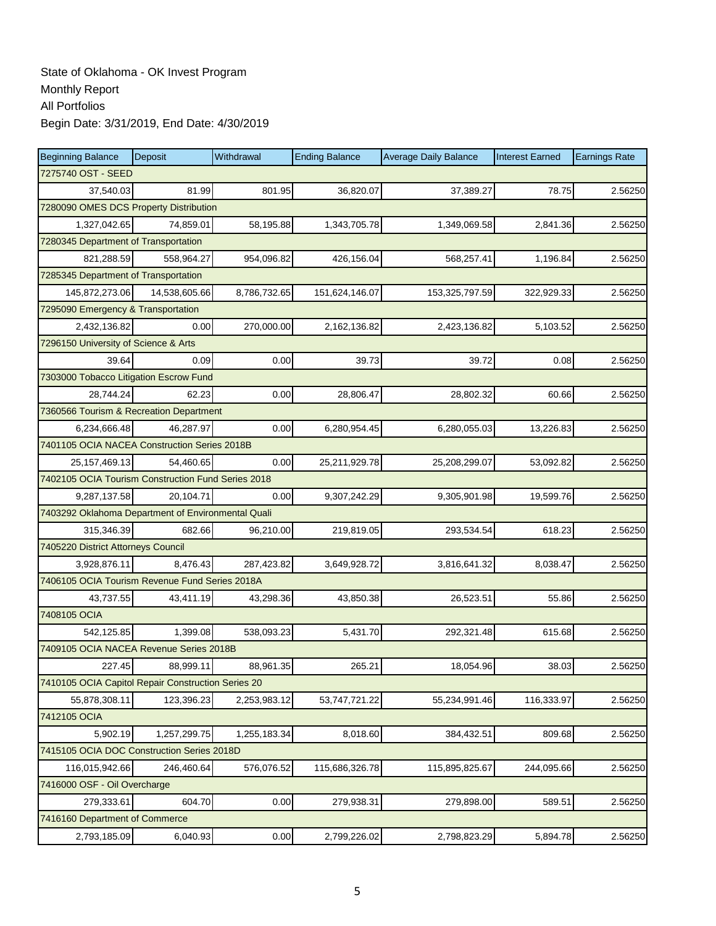| <b>Beginning Balance</b>                           | Deposit       | Withdrawal   | <b>Ending Balance</b> | <b>Average Daily Balance</b> | <b>Interest Earned</b> | <b>Earnings Rate</b> |
|----------------------------------------------------|---------------|--------------|-----------------------|------------------------------|------------------------|----------------------|
| 7275740 OST - SEED                                 |               |              |                       |                              |                        |                      |
| 37,540.03                                          | 81.99         | 801.95       | 36,820.07             | 37,389.27                    | 78.75                  | 2.56250              |
| 7280090 OMES DCS Property Distribution             |               |              |                       |                              |                        |                      |
| 1,327,042.65                                       | 74,859.01     | 58,195.88    | 1,343,705.78          | 1,349,069.58                 | 2,841.36               | 2.56250              |
| 7280345 Department of Transportation               |               |              |                       |                              |                        |                      |
| 821,288.59                                         | 558,964.27    | 954,096.82   | 426,156.04            | 568,257.41                   | 1,196.84               | 2.56250              |
| 7285345 Department of Transportation               |               |              |                       |                              |                        |                      |
| 145,872,273.06                                     | 14,538,605.66 | 8,786,732.65 | 151,624,146.07        | 153,325,797.59               | 322,929.33             | 2.56250              |
| 7295090 Emergency & Transportation                 |               |              |                       |                              |                        |                      |
| 2,432,136.82                                       | 0.00          | 270,000.00   | 2,162,136.82          | 2,423,136.82                 | 5,103.52               | 2.56250              |
| 7296150 University of Science & Arts               |               |              |                       |                              |                        |                      |
| 39.64                                              | 0.09          | 0.00         | 39.73                 | 39.72                        | 0.08                   | 2.56250              |
| 7303000 Tobacco Litigation Escrow Fund             |               |              |                       |                              |                        |                      |
| 28,744.24                                          | 62.23         | 0.00         | 28,806.47             | 28,802.32                    | 60.66                  | 2.56250              |
| 7360566 Tourism & Recreation Department            |               |              |                       |                              |                        |                      |
| 6,234,666.48                                       | 46,287.97     | 0.00         | 6,280,954.45          | 6,280,055.03                 | 13,226.83              | 2.56250              |
| 7401105 OCIA NACEA Construction Series 2018B       |               |              |                       |                              |                        |                      |
| 25, 157, 469. 13                                   | 54.460.65     | 0.00         | 25,211,929.78         | 25,208,299.07                | 53,092.82              | 2.56250              |
| 7402105 OCIA Tourism Construction Fund Series 2018 |               |              |                       |                              |                        |                      |
| 9,287,137.58                                       | 20,104.71     | 0.00         | 9,307,242.29          | 9,305,901.98                 | 19,599.76              | 2.56250              |
| 7403292 Oklahoma Department of Environmental Quali |               |              |                       |                              |                        |                      |
| 315,346.39                                         | 682.66        | 96,210.00    | 219,819.05            | 293,534.54                   | 618.23                 | 2.56250              |
| 7405220 District Attorneys Council                 |               |              |                       |                              |                        |                      |
| 3,928,876.11                                       | 8,476.43      | 287,423.82   | 3,649,928.72          | 3,816,641.32                 | 8,038.47               | 2.56250              |
| 7406105 OCIA Tourism Revenue Fund Series 2018A     |               |              |                       |                              |                        |                      |
| 43,737.55                                          | 43,411.19     | 43,298.36    | 43,850.38             | 26,523.51                    | 55.86                  | 2.56250              |
| 7408105 OCIA                                       |               |              |                       |                              |                        |                      |
| 542,125.85                                         | 1,399.08      | 538,093.23   | 5,431.70              | 292,321.48                   | 615.68                 | 2.56250              |
| 7409105 OCIA NACEA Revenue Series 2018B            |               |              |                       |                              |                        |                      |
| 227.45                                             | 88,999.11     | 88,961.35    | 265.21                | 18,054.96                    | 38.03                  | 2.56250              |
| 7410105 OCIA Capitol Repair Construction Series 20 |               |              |                       |                              |                        |                      |
| 55,878,308.11                                      | 123,396.23    | 2,253,983.12 | 53,747,721.22         | 55,234,991.46                | 116,333.97             | 2.56250              |
| 7412105 OCIA                                       |               |              |                       |                              |                        |                      |
| 5,902.19                                           | 1,257,299.75  | 1,255,183.34 | 8,018.60              | 384,432.51                   | 809.68                 | 2.56250              |
| 7415105 OCIA DOC Construction Series 2018D         |               |              |                       |                              |                        |                      |
| 116,015,942.66                                     | 246,460.64    | 576,076.52   | 115,686,326.78        | 115,895,825.67               | 244,095.66             | 2.56250              |
| 7416000 OSF - Oil Overcharge                       |               |              |                       |                              |                        |                      |
| 279,333.61                                         | 604.70        | 0.00         | 279,938.31            | 279,898.00                   | 589.51                 | 2.56250              |
| 7416160 Department of Commerce                     |               |              |                       |                              |                        |                      |
| 2,793,185.09                                       | 6,040.93      | 0.00         | 2,799,226.02          | 2,798,823.29                 | 5,894.78               | 2.56250              |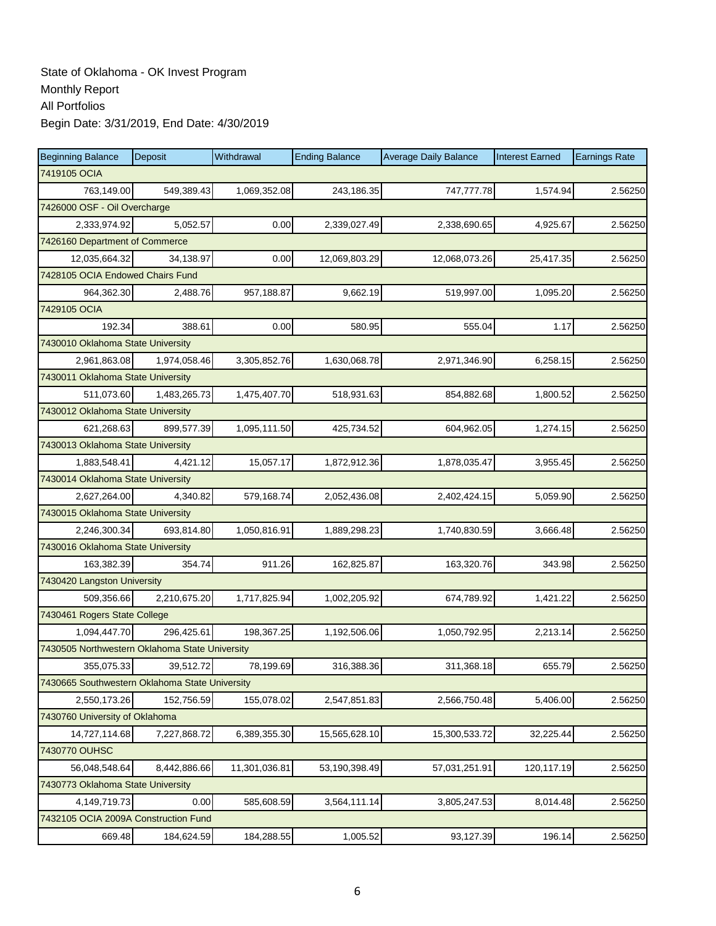| <b>Beginning Balance</b>                       | Deposit                        | Withdrawal    | <b>Ending Balance</b> | <b>Average Daily Balance</b> | <b>Interest Earned</b> | <b>Earnings Rate</b> |  |  |  |  |
|------------------------------------------------|--------------------------------|---------------|-----------------------|------------------------------|------------------------|----------------------|--|--|--|--|
| 7419105 OCIA                                   |                                |               |                       |                              |                        |                      |  |  |  |  |
| 763,149.00                                     | 549,389.43                     | 1,069,352.08  | 243,186.35            | 747,777.78                   | 1,574.94               | 2.56250              |  |  |  |  |
| 7426000 OSF - Oil Overcharge                   |                                |               |                       |                              |                        |                      |  |  |  |  |
| 2,333,974.92                                   | 5,052.57                       | 0.00          | 2,339,027.49          | 2,338,690.65                 | 4,925.67               | 2.56250              |  |  |  |  |
|                                                | 7426160 Department of Commerce |               |                       |                              |                        |                      |  |  |  |  |
| 12,035,664.32                                  | 34,138.97                      | 0.00          | 12,069,803.29         | 12,068,073.26                | 25,417.35              | 2.56250              |  |  |  |  |
| 7428105 OCIA Endowed Chairs Fund               |                                |               |                       |                              |                        |                      |  |  |  |  |
| 964,362.30                                     | 2,488.76                       | 957,188.87    | 9,662.19              | 519,997.00                   | 1,095.20               | 2.56250              |  |  |  |  |
| 7429105 OCIA                                   |                                |               |                       |                              |                        |                      |  |  |  |  |
| 192.34                                         | 388.61                         | 0.00          | 580.95                | 555.04                       | 1.17                   | 2.56250              |  |  |  |  |
| 7430010 Oklahoma State University              |                                |               |                       |                              |                        |                      |  |  |  |  |
| 2,961,863.08                                   | 1,974,058.46                   | 3,305,852.76  | 1,630,068.78          | 2,971,346.90                 | 6,258.15               | 2.56250              |  |  |  |  |
| 7430011 Oklahoma State University              |                                |               |                       |                              |                        |                      |  |  |  |  |
| 511,073.60                                     | 1,483,265.73                   | 1,475,407.70  | 518,931.63            | 854,882.68                   | 1,800.52               | 2.56250              |  |  |  |  |
| 7430012 Oklahoma State University              |                                |               |                       |                              |                        |                      |  |  |  |  |
| 621,268.63                                     | 899,577.39                     | 1,095,111.50  | 425,734.52            | 604,962.05                   | 1,274.15               | 2.56250              |  |  |  |  |
| 7430013 Oklahoma State University              |                                |               |                       |                              |                        |                      |  |  |  |  |
| 1,883,548.41                                   | 4,421.12                       | 15,057.17     | 1,872,912.36          | 1,878,035.47                 | 3,955.45               | 2.56250              |  |  |  |  |
| 7430014 Oklahoma State University              |                                |               |                       |                              |                        |                      |  |  |  |  |
| 2,627,264.00                                   | 4,340.82                       | 579,168.74    | 2,052,436.08          | 2,402,424.15                 | 5,059.90               | 2.56250              |  |  |  |  |
| 7430015 Oklahoma State University              |                                |               |                       |                              |                        |                      |  |  |  |  |
| 2,246,300.34                                   | 693,814.80                     | 1,050,816.91  | 1,889,298.23          | 1,740,830.59                 | 3,666.48               | 2.56250              |  |  |  |  |
| 7430016 Oklahoma State University              |                                |               |                       |                              |                        |                      |  |  |  |  |
| 163,382.39                                     | 354.74                         | 911.26        | 162,825.87            | 163,320.76                   | 343.98                 | 2.56250              |  |  |  |  |
| 7430420 Langston University                    |                                |               |                       |                              |                        |                      |  |  |  |  |
| 509,356.66                                     | 2,210,675.20                   | 1,717,825.94  | 1,002,205.92          | 674,789.92                   | 1,421.22               | 2.56250              |  |  |  |  |
| 7430461 Rogers State College                   |                                |               |                       |                              |                        |                      |  |  |  |  |
| 1,094,447.70                                   | 296,425.61                     | 198,367.25    | 1,192,506.06          | 1,050,792.95                 | 2,213.14               | 2.56250              |  |  |  |  |
| 7430505 Northwestern Oklahoma State University |                                |               |                       |                              |                        |                      |  |  |  |  |
| 355,075.33                                     | 39,512.72                      | 78,199.69     | 316,388.36            | 311,368.18                   | 655.79                 | 2.56250              |  |  |  |  |
| 7430665 Southwestern Oklahoma State University |                                |               |                       |                              |                        |                      |  |  |  |  |
| 2,550,173.26                                   | 152,756.59                     | 155,078.02    | 2,547,851.83          | 2,566,750.48                 | 5,406.00               | 2.56250              |  |  |  |  |
| 7430760 University of Oklahoma                 |                                |               |                       |                              |                        |                      |  |  |  |  |
| 14,727,114.68                                  | 7,227,868.72                   | 6,389,355.30  | 15,565,628.10         | 15,300,533.72                | 32,225.44              | 2.56250              |  |  |  |  |
| 7430770 OUHSC                                  |                                |               |                       |                              |                        |                      |  |  |  |  |
| 56,048,548.64                                  | 8,442,886.66                   | 11,301,036.81 | 53,190,398.49         | 57,031,251.91                | 120,117.19             | 2.56250              |  |  |  |  |
| 7430773 Oklahoma State University              |                                |               |                       |                              |                        |                      |  |  |  |  |
| 4,149,719.73                                   | 0.00                           | 585,608.59    | 3,564,111.14          | 3,805,247.53                 | 8,014.48               | 2.56250              |  |  |  |  |
| 7432105 OCIA 2009A Construction Fund           |                                |               |                       |                              |                        |                      |  |  |  |  |
| 669.48                                         | 184,624.59                     | 184,288.55    | 1,005.52              | 93,127.39                    | 196.14                 | 2.56250              |  |  |  |  |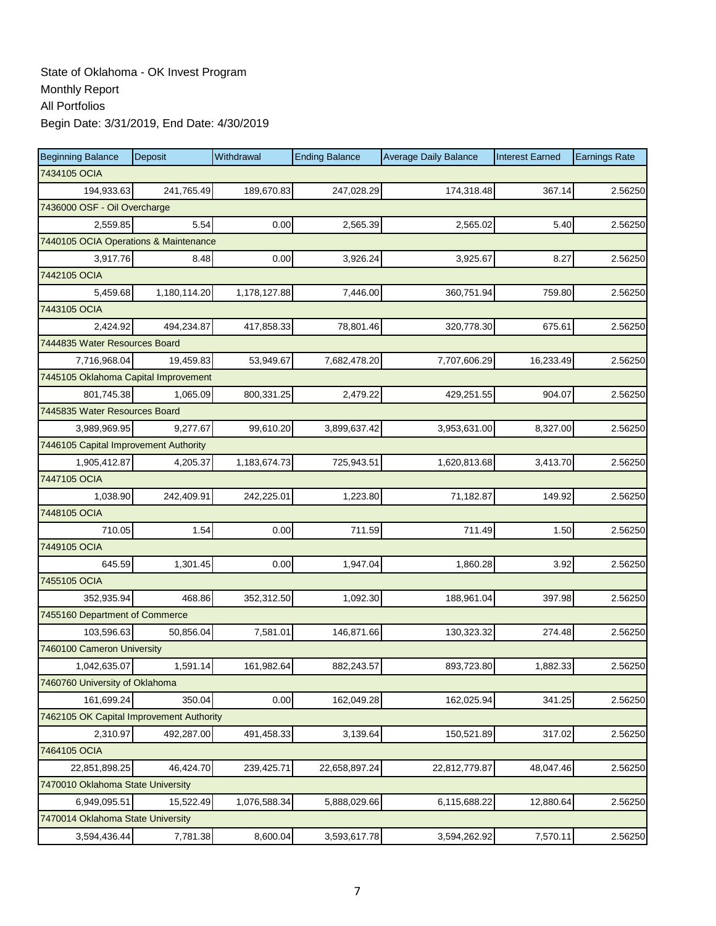| <b>Beginning Balance</b>                 | Deposit                               | Withdrawal   | <b>Ending Balance</b> | <b>Average Daily Balance</b> | <b>Interest Earned</b> | <b>Earnings Rate</b> |  |  |  |  |
|------------------------------------------|---------------------------------------|--------------|-----------------------|------------------------------|------------------------|----------------------|--|--|--|--|
| 7434105 OCIA                             |                                       |              |                       |                              |                        |                      |  |  |  |  |
| 194,933.63                               | 241,765.49                            | 189,670.83   | 247,028.29            | 174,318.48                   | 367.14                 | 2.56250              |  |  |  |  |
| 7436000 OSF - Oil Overcharge             |                                       |              |                       |                              |                        |                      |  |  |  |  |
| 2,559.85                                 | 5.54                                  | 0.00         | 2,565.39              | 2,565.02                     | 5.40                   | 2.56250              |  |  |  |  |
|                                          | 7440105 OCIA Operations & Maintenance |              |                       |                              |                        |                      |  |  |  |  |
| 3,917.76                                 | 8.48                                  | 0.00         | 3,926.24              | 3,925.67                     | 8.27                   | 2.56250              |  |  |  |  |
| 7442105 OCIA                             |                                       |              |                       |                              |                        |                      |  |  |  |  |
| 5,459.68                                 | 1,180,114.20                          | 1,178,127.88 | 7,446.00              | 360,751.94                   | 759.80                 | 2.56250              |  |  |  |  |
| 7443105 OCIA                             |                                       |              |                       |                              |                        |                      |  |  |  |  |
| 2,424.92                                 | 494,234.87                            | 417,858.33   | 78,801.46             | 320,778.30                   | 675.61                 | 2.56250              |  |  |  |  |
| 7444835 Water Resources Board            |                                       |              |                       |                              |                        |                      |  |  |  |  |
| 7,716,968.04                             | 19,459.83                             | 53,949.67    | 7,682,478.20          | 7,707,606.29                 | 16,233.49              | 2.56250              |  |  |  |  |
| 7445105 Oklahoma Capital Improvement     |                                       |              |                       |                              |                        |                      |  |  |  |  |
| 801,745.38                               | 1,065.09                              | 800,331.25   | 2,479.22              | 429,251.55                   | 904.07                 | 2.56250              |  |  |  |  |
| 7445835 Water Resources Board            |                                       |              |                       |                              |                        |                      |  |  |  |  |
| 3,989,969.95                             | 9,277.67                              | 99,610.20    | 3,899,637.42          | 3,953,631.00                 | 8,327.00               | 2.56250              |  |  |  |  |
| 7446105 Capital Improvement Authority    |                                       |              |                       |                              |                        |                      |  |  |  |  |
| 1,905,412.87                             | 4,205.37                              | 1,183,674.73 | 725,943.51            | 1,620,813.68                 | 3,413.70               | 2.56250              |  |  |  |  |
| 7447105 OCIA                             |                                       |              |                       |                              |                        |                      |  |  |  |  |
| 1,038.90                                 | 242,409.91                            | 242,225.01   | 1,223.80              | 71,182.87                    | 149.92                 | 2.56250              |  |  |  |  |
| 7448105 OCIA                             |                                       |              |                       |                              |                        |                      |  |  |  |  |
| 710.05                                   | 1.54                                  | 0.00         | 711.59                | 711.49                       | 1.50                   | 2.56250              |  |  |  |  |
| 7449105 OCIA                             |                                       |              |                       |                              |                        |                      |  |  |  |  |
| 645.59                                   | 1,301.45                              | 0.00         | 1,947.04              | 1,860.28                     | 3.92                   | 2.56250              |  |  |  |  |
| 7455105 OCIA                             |                                       |              |                       |                              |                        |                      |  |  |  |  |
| 352,935.94                               | 468.86                                | 352,312.50   | 1,092.30              | 188,961.04                   | 397.98                 | 2.56250              |  |  |  |  |
| 7455160 Department of Commerce           |                                       |              |                       |                              |                        |                      |  |  |  |  |
| 103,596.63                               | 50,856.04                             | 7,581.01     | 146,871.66            | 130,323.32                   | 274.48                 | 2.56250              |  |  |  |  |
| 7460100 Cameron University               |                                       |              |                       |                              |                        |                      |  |  |  |  |
| 1,042,635.07                             | 1,591.14                              | 161,982.64   | 882,243.57            | 893,723.80                   | 1,882.33               | 2.56250              |  |  |  |  |
| 7460760 University of Oklahoma           |                                       |              |                       |                              |                        |                      |  |  |  |  |
| 161,699.24                               | 350.04                                | 0.00         | 162,049.28            | 162,025.94                   | 341.25                 | 2.56250              |  |  |  |  |
| 7462105 OK Capital Improvement Authority |                                       |              |                       |                              |                        |                      |  |  |  |  |
| 2,310.97                                 | 492,287.00                            | 491,458.33   | 3,139.64              | 150,521.89                   | 317.02                 | 2.56250              |  |  |  |  |
| 7464105 OCIA                             |                                       |              |                       |                              |                        |                      |  |  |  |  |
| 22,851,898.25                            | 46,424.70                             | 239,425.71   | 22,658,897.24         | 22,812,779.87                | 48,047.46              | 2.56250              |  |  |  |  |
| 7470010 Oklahoma State University        |                                       |              |                       |                              |                        |                      |  |  |  |  |
| 6,949,095.51                             | 15,522.49                             | 1,076,588.34 | 5,888,029.66          | 6,115,688.22                 | 12,880.64              | 2.56250              |  |  |  |  |
| 7470014 Oklahoma State University        |                                       |              |                       |                              |                        |                      |  |  |  |  |
| 3,594,436.44                             | 7,781.38                              | 8,600.04     | 3,593,617.78          | 3,594,262.92                 | 7,570.11               | 2.56250              |  |  |  |  |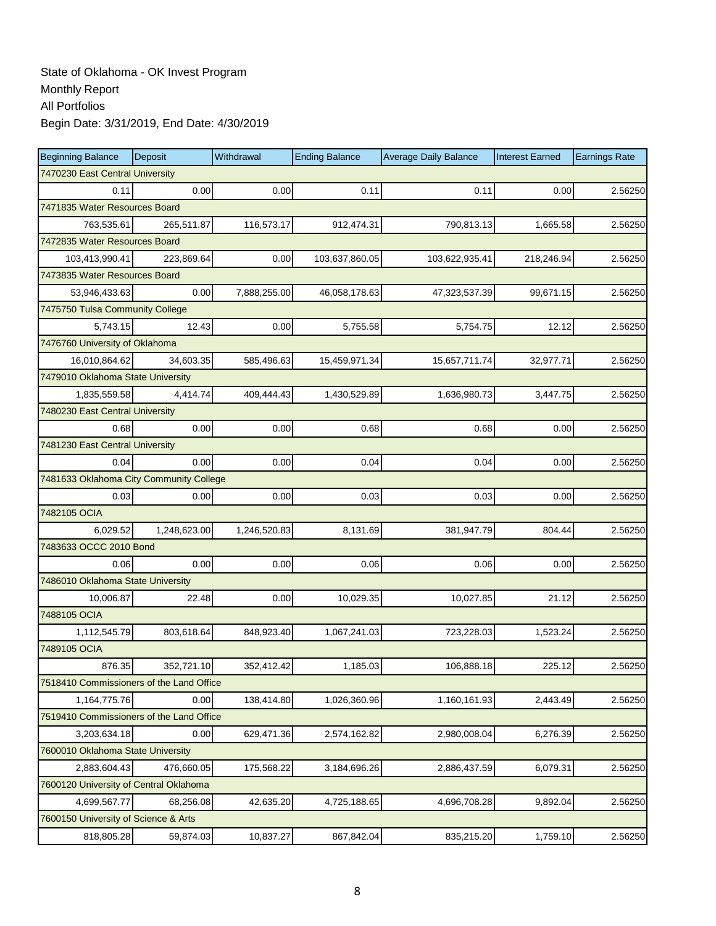| <b>Beginning Balance</b>                 | <b>Deposit</b> | Withdrawal   | <b>Ending Balance</b> | <b>Average Daily Balance</b> | <b>Interest Earned</b> | <b>Earnings Rate</b> |
|------------------------------------------|----------------|--------------|-----------------------|------------------------------|------------------------|----------------------|
| 7470230 East Central University          |                |              |                       |                              |                        |                      |
| 0.11                                     | 0.00           | 0.00         | 0.11                  | 0.11                         | 0.00                   | 2.56250              |
| 7471835 Water Resources Board            |                |              |                       |                              |                        |                      |
| 763,535.61                               | 265,511.87     | 116,573.17   | 912,474.31            | 790,813.13                   | 1,665.58               | 2.56250              |
| 7472835 Water Resources Board            |                |              |                       |                              |                        |                      |
| 103,413,990.41                           | 223,869.64     | 0.00         | 103,637,860.05        | 103,622,935.41               | 218,246.94             | 2.56250              |
| 7473835 Water Resources Board            |                |              |                       |                              |                        |                      |
| 53,946,433.63                            | 0.00           | 7,888,255.00 | 46,058,178.63         | 47,323,537.39                | 99,671.15              | 2.56250              |
| 7475750 Tulsa Community College          |                |              |                       |                              |                        |                      |
| 5,743.15                                 | 12.43          | 0.00         | 5,755.58              | 5,754.75                     | 12.12                  | 2.56250              |
| 7476760 University of Oklahoma           |                |              |                       |                              |                        |                      |
| 16,010,864.62                            | 34,603.35      | 585,496.63   | 15,459,971.34         | 15,657,711.74                | 32,977.71              | 2.56250              |
| 7479010 Oklahoma State University        |                |              |                       |                              |                        |                      |
| 1,835,559.58                             | 4,414.74       | 409,444.43   | 1,430,529.89          | 1,636,980.73                 | 3,447.75               | 2.56250              |
| 7480230 East Central University          |                |              |                       |                              |                        |                      |
| 0.68                                     | 0.00           | 0.00         | 0.68                  | 0.68                         | 0.00                   | 2.56250              |
| 7481230 East Central University          |                |              |                       |                              |                        |                      |
| 0.04                                     | 0.00           | 0.00         | 0.04                  | 0.04                         | 0.00                   | 2.56250              |
| 7481633 Oklahoma City Community College  |                |              |                       |                              |                        |                      |
| 0.03                                     | 0.00           | 0.00         | 0.03                  | 0.03                         | 0.00                   | 2.56250              |
| 7482105 OCIA                             |                |              |                       |                              |                        |                      |
| 6,029.52                                 | 1,248,623.00   | 1,246,520.83 | 8,131.69              | 381,947.79                   | 804.44                 | 2.56250              |
| 7483633 OCCC 2010 Bond                   |                |              |                       |                              |                        |                      |
| 0.06                                     | 0.00           | 0.00         | 0.06                  | 0.06                         | 0.00                   | 2.56250              |
| 7486010 Oklahoma State University        |                |              |                       |                              |                        |                      |
| 10,006.87                                | 22.48          | 0.00         | 10,029.35             | 10,027.85                    | 21.12                  | 2.56250              |
| 7488105 OCIA                             |                |              |                       |                              |                        |                      |
| 1,112,545.79                             | 803,618.64     | 848,923.40   | 1,067,241.03          | 723,228.03                   | 1,523.24               | 2.56250              |
| 7489105 OCIA                             |                |              |                       |                              |                        |                      |
| 876.35                                   | 352,721.10     | 352,412.42   | 1,185.03              | 106,888.18                   | 225.12                 | 2.56250              |
| 7518410 Commissioners of the Land Office |                |              |                       |                              |                        |                      |
| 1,164,775.76                             | 0.00           | 138,414.80   | 1,026,360.96          | 1,160,161.93                 | 2,443.49               | 2.56250              |
| 7519410 Commissioners of the Land Office |                |              |                       |                              |                        |                      |
| 3,203,634.18                             | 0.00           | 629,471.36   | 2,574,162.82          | 2,980,008.04                 | 6,276.39               | 2.56250              |
| 7600010 Oklahoma State University        |                |              |                       |                              |                        |                      |
| 2,883,604.43                             | 476,660.05     | 175,568.22   | 3,184,696.26          | 2,886,437.59                 | 6,079.31               | 2.56250              |
| 7600120 University of Central Oklahoma   |                |              |                       |                              |                        |                      |
| 4,699,567.77                             | 68,256.08      | 42,635.20    | 4,725,188.65          | 4,696,708.28                 | 9,892.04               | 2.56250              |
| 7600150 University of Science & Arts     |                |              |                       |                              |                        |                      |
| 818,805.28                               | 59,874.03      | 10,837.27    | 867,842.04            | 835,215.20                   | 1,759.10               | 2.56250              |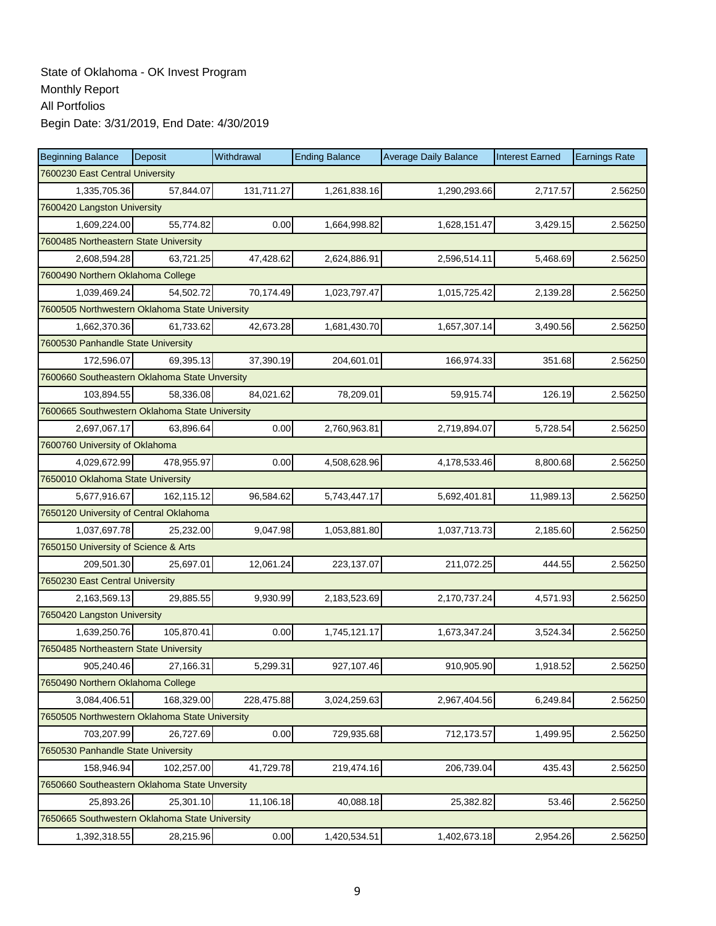| <b>Beginning Balance</b>                       | Deposit    | Withdrawal | <b>Ending Balance</b> | <b>Average Daily Balance</b> | <b>Interest Earned</b> | <b>Earnings Rate</b> |
|------------------------------------------------|------------|------------|-----------------------|------------------------------|------------------------|----------------------|
| 7600230 East Central University                |            |            |                       |                              |                        |                      |
| 1,335,705.36                                   | 57,844.07  | 131,711.27 | 1,261,838.16          | 1,290,293.66                 | 2,717.57               | 2.56250              |
| 7600420 Langston University                    |            |            |                       |                              |                        |                      |
| 1,609,224.00                                   | 55,774.82  | 0.00       | 1,664,998.82          | 1,628,151.47                 | 3,429.15               | 2.56250              |
| 7600485 Northeastern State University          |            |            |                       |                              |                        |                      |
| 2,608,594.28                                   | 63,721.25  | 47,428.62  | 2,624,886.91          | 2,596,514.11                 | 5,468.69               | 2.56250              |
| 7600490 Northern Oklahoma College              |            |            |                       |                              |                        |                      |
| 1,039,469.24                                   | 54,502.72  | 70,174.49  | 1,023,797.47          | 1,015,725.42                 | 2,139.28               | 2.56250              |
| 7600505 Northwestern Oklahoma State University |            |            |                       |                              |                        |                      |
| 1,662,370.36                                   | 61,733.62  | 42,673.28  | 1,681,430.70          | 1,657,307.14                 | 3,490.56               | 2.56250              |
| 7600530 Panhandle State University             |            |            |                       |                              |                        |                      |
| 172,596.07                                     | 69,395.13  | 37,390.19  | 204,601.01            | 166,974.33                   | 351.68                 | 2.56250              |
| 7600660 Southeastern Oklahoma State Unversity  |            |            |                       |                              |                        |                      |
| 103,894.55                                     | 58,336.08  | 84,021.62  | 78,209.01             | 59,915.74                    | 126.19                 | 2.56250              |
| 7600665 Southwestern Oklahoma State University |            |            |                       |                              |                        |                      |
| 2,697,067.17                                   | 63,896.64  | 0.00       | 2,760,963.81          | 2,719,894.07                 | 5,728.54               | 2.56250              |
| 7600760 University of Oklahoma                 |            |            |                       |                              |                        |                      |
| 4,029,672.99                                   | 478,955.97 | 0.00       | 4,508,628.96          | 4,178,533.46                 | 8,800.68               | 2.56250              |
| 7650010 Oklahoma State University              |            |            |                       |                              |                        |                      |
| 5,677,916.67                                   | 162,115.12 | 96,584.62  | 5,743,447.17          | 5,692,401.81                 | 11,989.13              | 2.56250              |
| 7650120 University of Central Oklahoma         |            |            |                       |                              |                        |                      |
| 1,037,697.78                                   | 25,232.00  | 9,047.98   | 1,053,881.80          | 1,037,713.73                 | 2,185.60               | 2.56250              |
| 7650150 University of Science & Arts           |            |            |                       |                              |                        |                      |
| 209,501.30                                     | 25,697.01  | 12,061.24  | 223,137.07            | 211,072.25                   | 444.55                 | 2.56250              |
| 7650230 East Central University                |            |            |                       |                              |                        |                      |
| 2,163,569.13                                   | 29,885.55  | 9,930.99   | 2,183,523.69          | 2,170,737.24                 | 4,571.93               | 2.56250              |
| 7650420 Langston University                    |            |            |                       |                              |                        |                      |
| 1,639,250.76                                   | 105,870.41 | 0.00       | 1,745,121.17          | 1,673,347.24                 | 3,524.34               | 2.56250              |
| 7650485 Northeastern State University          |            |            |                       |                              |                        |                      |
| 905,240.46                                     | 27,166.31  | 5,299.31   | 927,107.46            | 910,905.90                   | 1,918.52               | 2.56250              |
| 7650490 Northern Oklahoma College              |            |            |                       |                              |                        |                      |
| 3,084,406.51                                   | 168,329.00 | 228,475.88 | 3,024,259.63          | 2,967,404.56                 | 6,249.84               | 2.56250              |
| 7650505 Northwestern Oklahoma State University |            |            |                       |                              |                        |                      |
| 703,207.99                                     | 26,727.69  | 0.00       | 729,935.68            | 712,173.57                   | 1,499.95               | 2.56250              |
| 7650530 Panhandle State University             |            |            |                       |                              |                        |                      |
| 158,946.94                                     | 102,257.00 | 41,729.78  | 219,474.16            | 206,739.04                   | 435.43                 | 2.56250              |
| 7650660 Southeastern Oklahoma State Unversity  |            |            |                       |                              |                        |                      |
| 25,893.26                                      | 25,301.10  | 11,106.18  | 40,088.18             | 25,382.82                    | 53.46                  | 2.56250              |
| 7650665 Southwestern Oklahoma State University |            |            |                       |                              |                        |                      |
| 1,392,318.55                                   | 28,215.96  | 0.00       | 1,420,534.51          | 1,402,673.18                 | 2,954.26               | 2.56250              |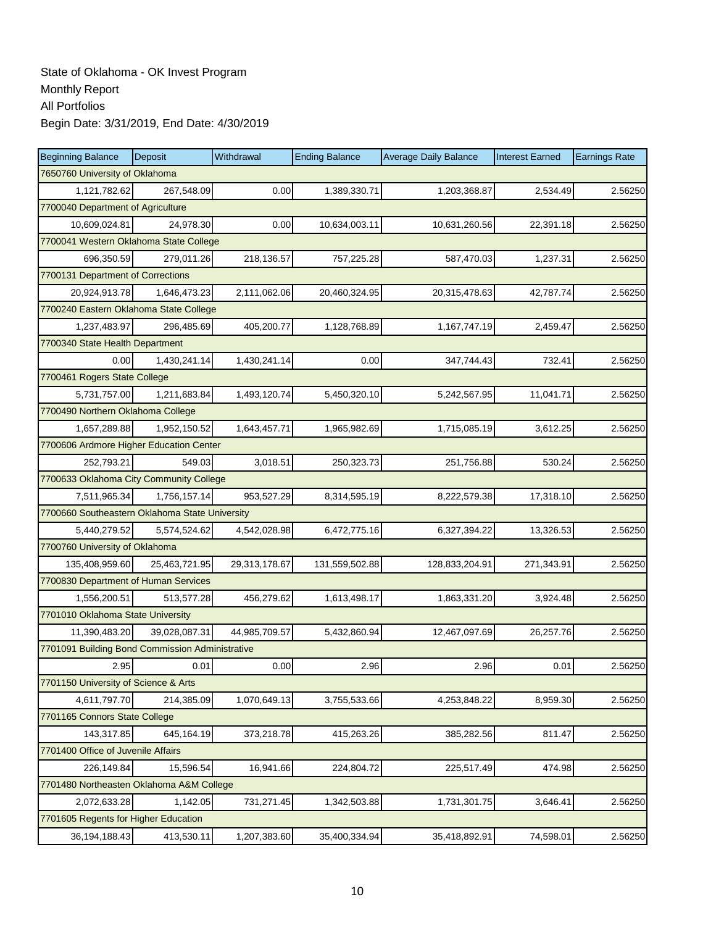| <b>Beginning Balance</b>                        | Deposit       | Withdrawal    | <b>Ending Balance</b> | <b>Average Daily Balance</b> | <b>Interest Earned</b> | <b>Earnings Rate</b> |  |  |
|-------------------------------------------------|---------------|---------------|-----------------------|------------------------------|------------------------|----------------------|--|--|
| 7650760 University of Oklahoma                  |               |               |                       |                              |                        |                      |  |  |
| 1,121,782.62                                    | 267,548.09    | 0.00          | 1,389,330.71          | 1,203,368.87                 | 2,534.49               | 2.56250              |  |  |
| 7700040 Department of Agriculture               |               |               |                       |                              |                        |                      |  |  |
| 10,609,024.81                                   | 24,978.30     | 0.00          | 10,634,003.11         | 10,631,260.56                | 22,391.18              | 2.56250              |  |  |
| 7700041 Western Oklahoma State College          |               |               |                       |                              |                        |                      |  |  |
| 696,350.59                                      | 279,011.26    | 218,136.57    | 757,225.28            | 587,470.03                   | 1,237.31               | 2.56250              |  |  |
| 7700131 Department of Corrections               |               |               |                       |                              |                        |                      |  |  |
| 20,924,913.78                                   | 1,646,473.23  | 2,111,062.06  | 20,460,324.95         | 20,315,478.63                | 42,787.74              | 2.56250              |  |  |
| 7700240 Eastern Oklahoma State College          |               |               |                       |                              |                        |                      |  |  |
| 1,237,483.97                                    | 296,485.69    | 405,200.77    | 1,128,768.89          | 1,167,747.19                 | 2,459.47               | 2.56250              |  |  |
| 7700340 State Health Department                 |               |               |                       |                              |                        |                      |  |  |
| 0.00                                            | 1,430,241.14  | 1,430,241.14  | 0.00                  | 347,744.43                   | 732.41                 | 2.56250              |  |  |
| 7700461 Rogers State College                    |               |               |                       |                              |                        |                      |  |  |
| 5,731,757.00                                    | 1,211,683.84  | 1,493,120.74  | 5,450,320.10          | 5,242,567.95                 | 11,041.71              | 2.56250              |  |  |
| 7700490 Northern Oklahoma College               |               |               |                       |                              |                        |                      |  |  |
| 1,657,289.88                                    | 1,952,150.52  | 1,643,457.71  | 1,965,982.69          | 1,715,085.19                 | 3,612.25               | 2.56250              |  |  |
| 7700606 Ardmore Higher Education Center         |               |               |                       |                              |                        |                      |  |  |
| 252,793.21                                      | 549.03        | 3,018.51      | 250,323.73            | 251,756.88                   | 530.24                 | 2.56250              |  |  |
| 7700633 Oklahoma City Community College         |               |               |                       |                              |                        |                      |  |  |
| 7,511,965.34                                    | 1,756,157.14  | 953,527.29    | 8,314,595.19          | 8,222,579.38                 | 17,318.10              | 2.56250              |  |  |
| 7700660 Southeastern Oklahoma State University  |               |               |                       |                              |                        |                      |  |  |
| 5,440,279.52                                    | 5,574,524.62  | 4,542,028.98  | 6,472,775.16          | 6,327,394.22                 | 13,326.53              | 2.56250              |  |  |
| 7700760 University of Oklahoma                  |               |               |                       |                              |                        |                      |  |  |
| 135,408,959.60                                  | 25,463,721.95 | 29,313,178.67 | 131,559,502.88        | 128,833,204.91               | 271,343.91             | 2.56250              |  |  |
| 7700830 Department of Human Services            |               |               |                       |                              |                        |                      |  |  |
| 1,556,200.51                                    | 513,577.28    | 456,279.62    | 1,613,498.17          | 1,863,331.20                 | 3,924.48               | 2.56250              |  |  |
| 7701010 Oklahoma State University               |               |               |                       |                              |                        |                      |  |  |
| 11,390,483.20                                   | 39,028,087.31 | 44,985,709.57 | 5,432,860.94          | 12,467,097.69                | 26,257.76              | 2.56250              |  |  |
| 7701091 Building Bond Commission Administrative |               |               |                       |                              |                        |                      |  |  |
| 2.95                                            | 0.01          | 0.00          | 2.96                  | 2.96                         | 0.01                   | 2.56250              |  |  |
| 7701150 University of Science & Arts            |               |               |                       |                              |                        |                      |  |  |
| 4,611,797.70                                    | 214,385.09    | 1,070,649.13  | 3,755,533.66          | 4,253,848.22                 | 8,959.30               | 2.56250              |  |  |
| 7701165 Connors State College                   |               |               |                       |                              |                        |                      |  |  |
| 143,317.85                                      | 645,164.19    | 373,218.78    | 415,263.26            | 385,282.56                   | 811.47                 | 2.56250              |  |  |
| 7701400 Office of Juvenile Affairs              |               |               |                       |                              |                        |                      |  |  |
| 226,149.84                                      | 15,596.54     | 16,941.66     | 224,804.72            | 225,517.49                   | 474.98                 | 2.56250              |  |  |
| 7701480 Northeasten Oklahoma A&M College        |               |               |                       |                              |                        |                      |  |  |
| 2,072,633.28                                    | 1,142.05      | 731,271.45    | 1,342,503.88          | 1,731,301.75                 | 3,646.41               | 2.56250              |  |  |
| 7701605 Regents for Higher Education            |               |               |                       |                              |                        |                      |  |  |
| 36, 194, 188. 43                                | 413,530.11    | 1,207,383.60  | 35,400,334.94         | 35,418,892.91                | 74,598.01              | 2.56250              |  |  |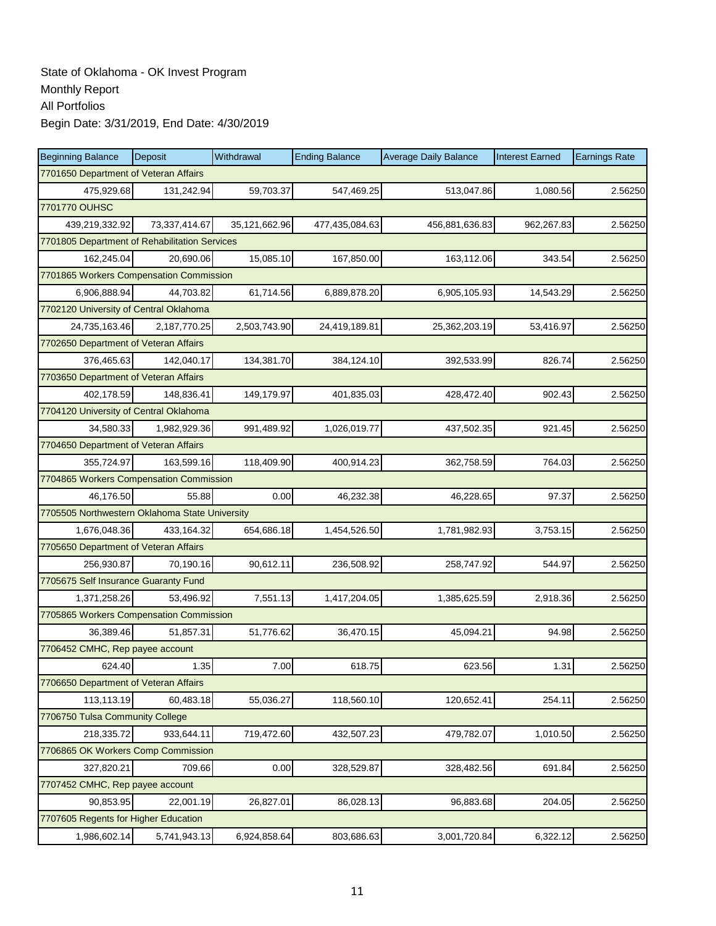| <b>Beginning Balance</b>                       | Deposit       | Withdrawal    | <b>Ending Balance</b> | <b>Average Daily Balance</b> | <b>Interest Earned</b> | <b>Earnings Rate</b> |
|------------------------------------------------|---------------|---------------|-----------------------|------------------------------|------------------------|----------------------|
| 7701650 Department of Veteran Affairs          |               |               |                       |                              |                        |                      |
| 475,929.68                                     | 131,242.94    | 59,703.37     | 547,469.25            | 513,047.86                   | 1,080.56               | 2.56250              |
| 7701770 OUHSC                                  |               |               |                       |                              |                        |                      |
| 439,219,332.92                                 | 73,337,414.67 | 35,121,662.96 | 477,435,084.63        | 456,881,636.83               | 962,267.83             | 2.56250              |
| 7701805 Department of Rehabilitation Services  |               |               |                       |                              |                        |                      |
| 162,245.04                                     | 20,690.06     | 15,085.10     | 167,850.00            | 163,112.06                   | 343.54                 | 2.56250              |
| 7701865 Workers Compensation Commission        |               |               |                       |                              |                        |                      |
| 6.906.888.94                                   | 44,703.82     | 61,714.56     | 6,889,878.20          | 6,905,105.93                 | 14,543.29              | 2.56250              |
| 7702120 University of Central Oklahoma         |               |               |                       |                              |                        |                      |
| 24,735,163.46                                  | 2,187,770.25  | 2,503,743.90  | 24,419,189.81         | 25,362,203.19                | 53,416.97              | 2.56250              |
| 7702650 Department of Veteran Affairs          |               |               |                       |                              |                        |                      |
| 376,465.63                                     | 142,040.17    | 134,381.70    | 384,124.10            | 392,533.99                   | 826.74                 | 2.56250              |
| 7703650 Department of Veteran Affairs          |               |               |                       |                              |                        |                      |
| 402.178.59                                     | 148,836.41    | 149,179.97    | 401,835.03            | 428,472.40                   | 902.43                 | 2.56250              |
| 7704120 University of Central Oklahoma         |               |               |                       |                              |                        |                      |
| 34,580.33                                      | 1,982,929.36  | 991,489.92    | 1,026,019.77          | 437,502.35                   | 921.45                 | 2.56250              |
| 7704650 Department of Veteran Affairs          |               |               |                       |                              |                        |                      |
| 355,724.97                                     | 163,599.16    | 118,409.90    | 400,914.23            | 362,758.59                   | 764.03                 | 2.56250              |
| 7704865 Workers Compensation Commission        |               |               |                       |                              |                        |                      |
| 46,176.50                                      | 55.88         | 0.00          | 46,232.38             | 46,228.65                    | 97.37                  | 2.56250              |
| 7705505 Northwestern Oklahoma State University |               |               |                       |                              |                        |                      |
| 1,676,048.36                                   | 433,164.32    | 654,686.18    | 1,454,526.50          | 1,781,982.93                 | 3,753.15               | 2.56250              |
| 7705650 Department of Veteran Affairs          |               |               |                       |                              |                        |                      |
| 256,930.87                                     | 70,190.16     | 90,612.11     | 236,508.92            | 258,747.92                   | 544.97                 | 2.56250              |
| 7705675 Self Insurance Guaranty Fund           |               |               |                       |                              |                        |                      |
| 1,371,258.26                                   | 53,496.92     | 7,551.13      | 1,417,204.05          | 1,385,625.59                 | 2,918.36               | 2.56250              |
| 7705865 Workers Compensation Commission        |               |               |                       |                              |                        |                      |
| 36,389.46                                      | 51,857.31     | 51,776.62     | 36,470.15             | 45,094.21                    | 94.98                  | 2.56250              |
| 7706452 CMHC, Rep payee account                |               |               |                       |                              |                        |                      |
| 624.40                                         | 1.35          | 7.00          | 618.75                | 623.56                       | 1.31                   | 2.56250              |
| 7706650 Department of Veteran Affairs          |               |               |                       |                              |                        |                      |
| 113,113.19                                     | 60,483.18     | 55,036.27     | 118,560.10            | 120,652.41                   | 254.11                 | 2.56250              |
| 7706750 Tulsa Community College                |               |               |                       |                              |                        |                      |
| 218,335.72                                     | 933,644.11    | 719,472.60    | 432,507.23            | 479,782.07                   | 1,010.50               | 2.56250              |
| 7706865 OK Workers Comp Commission             |               |               |                       |                              |                        |                      |
| 327,820.21                                     | 709.66        | 0.00          | 328,529.87            | 328,482.56                   | 691.84                 | 2.56250              |
| 7707452 CMHC, Rep payee account                |               |               |                       |                              |                        |                      |
| 90,853.95                                      | 22,001.19     | 26,827.01     | 86,028.13             | 96,883.68                    | 204.05                 | 2.56250              |
| 7707605 Regents for Higher Education           |               |               |                       |                              |                        |                      |
| 1,986,602.14                                   | 5,741,943.13  | 6,924,858.64  | 803,686.63            | 3,001,720.84                 | 6,322.12               | 2.56250              |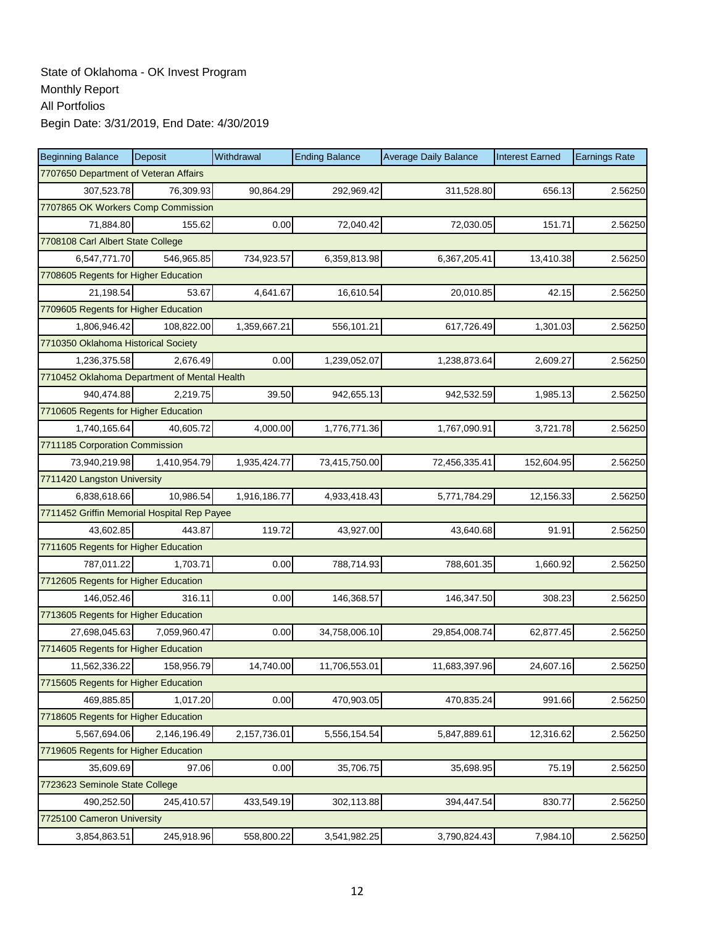| <b>Beginning Balance</b>                     | Deposit      | Withdrawal   | <b>Ending Balance</b> | <b>Average Daily Balance</b> | <b>Interest Earned</b> | <b>Earnings Rate</b> |  |  |
|----------------------------------------------|--------------|--------------|-----------------------|------------------------------|------------------------|----------------------|--|--|
| 7707650 Department of Veteran Affairs        |              |              |                       |                              |                        |                      |  |  |
| 307,523.78                                   | 76,309.93    | 90,864.29    | 292,969.42            | 311,528.80                   | 656.13                 | 2.56250              |  |  |
| 7707865 OK Workers Comp Commission           |              |              |                       |                              |                        |                      |  |  |
| 71,884.80                                    | 155.62       | 0.00         | 72,040.42             | 72,030.05                    | 151.71                 | 2.56250              |  |  |
| 7708108 Carl Albert State College            |              |              |                       |                              |                        |                      |  |  |
| 6,547,771.70                                 | 546,965.85   | 734,923.57   | 6,359,813.98          | 6,367,205.41                 | 13,410.38              | 2.56250              |  |  |
| 7708605 Regents for Higher Education         |              |              |                       |                              |                        |                      |  |  |
| 21,198.54                                    | 53.67        | 4,641.67     | 16,610.54             | 20,010.85                    | 42.15                  | 2.56250              |  |  |
| 7709605 Regents for Higher Education         |              |              |                       |                              |                        |                      |  |  |
| 1,806,946.42                                 | 108,822.00   | 1,359,667.21 | 556,101.21            | 617,726.49                   | 1,301.03               | 2.56250              |  |  |
| 7710350 Oklahoma Historical Society          |              |              |                       |                              |                        |                      |  |  |
| 1,236,375.58                                 | 2,676.49     | 0.00         | 1,239,052.07          | 1,238,873.64                 | 2,609.27               | 2.56250              |  |  |
| 7710452 Oklahoma Department of Mental Health |              |              |                       |                              |                        |                      |  |  |
| 940,474.88                                   | 2,219.75     | 39.50        | 942,655.13            | 942,532.59                   | 1,985.13               | 2.56250              |  |  |
| 7710605 Regents for Higher Education         |              |              |                       |                              |                        |                      |  |  |
| 1,740,165.64                                 | 40.605.72    | 4,000.00     | 1,776,771.36          | 1,767,090.91                 | 3,721.78               | 2.56250              |  |  |
| 7711185 Corporation Commission               |              |              |                       |                              |                        |                      |  |  |
| 73.940.219.98                                | 1,410,954.79 | 1,935,424.77 | 73,415,750.00         | 72,456,335.41                | 152,604.95             | 2.56250              |  |  |
| 7711420 Langston University                  |              |              |                       |                              |                        |                      |  |  |
| 6,838,618.66                                 | 10,986.54    | 1,916,186.77 | 4,933,418.43          | 5,771,784.29                 | 12,156.33              | 2.56250              |  |  |
| 7711452 Griffin Memorial Hospital Rep Payee  |              |              |                       |                              |                        |                      |  |  |
| 43,602.85                                    | 443.87       | 119.72       | 43,927.00             | 43,640.68                    | 91.91                  | 2.56250              |  |  |
| 7711605 Regents for Higher Education         |              |              |                       |                              |                        |                      |  |  |
| 787,011.22                                   | 1,703.71     | 0.00         | 788,714.93            | 788,601.35                   | 1,660.92               | 2.56250              |  |  |
| 7712605 Regents for Higher Education         |              |              |                       |                              |                        |                      |  |  |
| 146,052.46                                   | 316.11       | 0.00         | 146,368.57            | 146,347.50                   | 308.23                 | 2.56250              |  |  |
| 7713605 Regents for Higher Education         |              |              |                       |                              |                        |                      |  |  |
| 27,698,045.63                                | 7,059,960.47 | 0.00         | 34,758,006.10         | 29,854,008.74                | 62,877.45              | 2.56250              |  |  |
| 7714605 Regents for Higher Education         |              |              |                       |                              |                        |                      |  |  |
| 11,562,336.22                                | 158,956.79   | 14,740.00    | 11,706,553.01         | 11,683,397.96                | 24,607.16              | 2.56250              |  |  |
| 7715605 Regents for Higher Education         |              |              |                       |                              |                        |                      |  |  |
| 469,885.85                                   | 1,017.20     | 0.00         | 470,903.05            | 470,835.24                   | 991.66                 | 2.56250              |  |  |
| 7718605 Regents for Higher Education         |              |              |                       |                              |                        |                      |  |  |
| 5,567,694.06                                 | 2,146,196.49 | 2,157,736.01 | 5,556,154.54          | 5,847,889.61                 | 12,316.62              | 2.56250              |  |  |
| 7719605 Regents for Higher Education         |              |              |                       |                              |                        |                      |  |  |
| 35,609.69                                    | 97.06        | 0.00         | 35,706.75             | 35,698.95                    | 75.19                  | 2.56250              |  |  |
| 7723623 Seminole State College               |              |              |                       |                              |                        |                      |  |  |
| 490,252.50                                   | 245,410.57   | 433,549.19   | 302,113.88            | 394,447.54                   | 830.77                 | 2.56250              |  |  |
| 7725100 Cameron University                   |              |              |                       |                              |                        |                      |  |  |
| 3,854,863.51                                 | 245,918.96   | 558,800.22   | 3,541,982.25          | 3,790,824.43                 | 7,984.10               | 2.56250              |  |  |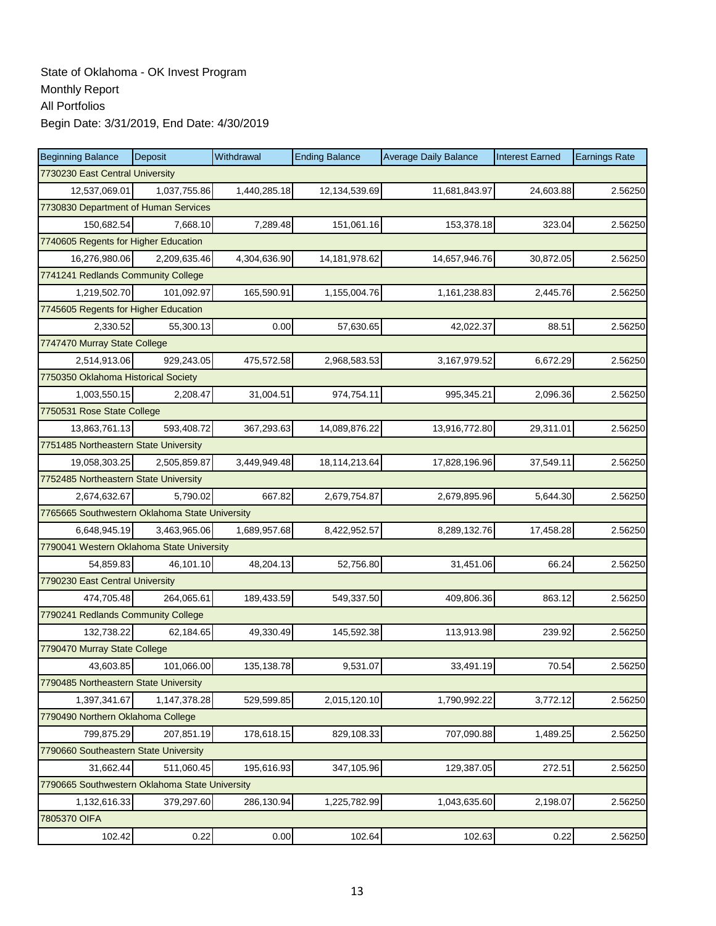| <b>Beginning Balance</b>                       | Deposit      | Withdrawal   | <b>Ending Balance</b> | <b>Average Daily Balance</b> | <b>Interest Earned</b> | <b>Earnings Rate</b> |  |  |  |  |
|------------------------------------------------|--------------|--------------|-----------------------|------------------------------|------------------------|----------------------|--|--|--|--|
| 7730230 East Central University                |              |              |                       |                              |                        |                      |  |  |  |  |
| 12,537,069.01                                  | 1,037,755.86 | 1,440,285.18 | 12,134,539.69         | 11,681,843.97                | 24,603.88              | 2.56250              |  |  |  |  |
| 7730830 Department of Human Services           |              |              |                       |                              |                        |                      |  |  |  |  |
| 150,682.54                                     | 7,668.10     | 7,289.48     | 151,061.16            | 153,378.18                   | 323.04                 | 2.56250              |  |  |  |  |
| 7740605 Regents for Higher Education           |              |              |                       |                              |                        |                      |  |  |  |  |
| 16,276,980.06                                  | 2,209,635.46 | 4,304,636.90 | 14, 181, 978.62       | 14,657,946.76                | 30,872.05              | 2.56250              |  |  |  |  |
| 7741241 Redlands Community College             |              |              |                       |                              |                        |                      |  |  |  |  |
| 1,219,502.70                                   | 101,092.97   | 165,590.91   | 1,155,004.76          | 1,161,238.83                 | 2,445.76               | 2.56250              |  |  |  |  |
| 7745605 Regents for Higher Education           |              |              |                       |                              |                        |                      |  |  |  |  |
| 2.330.52                                       | 55,300.13    | 0.00         | 57,630.65             | 42,022.37                    | 88.51                  | 2.56250              |  |  |  |  |
| 7747470 Murray State College                   |              |              |                       |                              |                        |                      |  |  |  |  |
| 2,514,913.06                                   | 929,243.05   | 475,572.58   | 2,968,583.53          | 3,167,979.52                 | 6,672.29               | 2.56250              |  |  |  |  |
| 7750350 Oklahoma Historical Society            |              |              |                       |                              |                        |                      |  |  |  |  |
| 1,003,550.15                                   | 2,208.47     | 31,004.51    | 974,754.11            | 995,345.21                   | 2,096.36               | 2.56250              |  |  |  |  |
| 7750531 Rose State College                     |              |              |                       |                              |                        |                      |  |  |  |  |
| 13,863,761.13                                  | 593,408.72   | 367,293.63   | 14,089,876.22         | 13,916,772.80                | 29,311.01              | 2.56250              |  |  |  |  |
| 7751485 Northeastern State University          |              |              |                       |                              |                        |                      |  |  |  |  |
| 19,058,303.25                                  | 2,505,859.87 | 3,449,949.48 | 18,114,213.64         | 17,828,196.96                | 37,549.11              | 2.56250              |  |  |  |  |
| 7752485 Northeastern State University          |              |              |                       |                              |                        |                      |  |  |  |  |
| 2,674,632.67                                   | 5,790.02     | 667.82       | 2,679,754.87          | 2,679,895.96                 | 5,644.30               | 2.56250              |  |  |  |  |
| 7765665 Southwestern Oklahoma State University |              |              |                       |                              |                        |                      |  |  |  |  |
| 6,648,945.19                                   | 3,463,965.06 | 1,689,957.68 | 8,422,952.57          | 8,289,132.76                 | 17,458.28              | 2.56250              |  |  |  |  |
| 7790041 Western Oklahoma State University      |              |              |                       |                              |                        |                      |  |  |  |  |
| 54,859.83                                      | 46,101.10    | 48,204.13    | 52,756.80             | 31,451.06                    | 66.24                  | 2.56250              |  |  |  |  |
| 7790230 East Central University                |              |              |                       |                              |                        |                      |  |  |  |  |
| 474,705.48                                     | 264,065.61   | 189,433.59   | 549,337.50            | 409,806.36                   | 863.12                 | 2.56250              |  |  |  |  |
| 7790241 Redlands Community College             |              |              |                       |                              |                        |                      |  |  |  |  |
| 132,738.22                                     | 62,184.65    | 49,330.49    | 145,592.38            | 113,913.98                   | 239.92                 | 2.56250              |  |  |  |  |
| 7790470 Murray State College                   |              |              |                       |                              |                        |                      |  |  |  |  |
| 43,603.85                                      | 101,066.00   | 135,138.78   | 9,531.07              | 33,491.19                    | 70.54                  | 2.56250              |  |  |  |  |
| 7790485 Northeastern State University          |              |              |                       |                              |                        |                      |  |  |  |  |
| 1,397,341.67                                   | 1,147,378.28 | 529,599.85   | 2,015,120.10          | 1,790,992.22                 | 3,772.12               | 2.56250              |  |  |  |  |
| 7790490 Northern Oklahoma College              |              |              |                       |                              |                        |                      |  |  |  |  |
| 799,875.29                                     | 207,851.19   | 178,618.15   | 829,108.33            | 707,090.88                   | 1,489.25               | 2.56250              |  |  |  |  |
| 7790660 Southeastern State University          |              |              |                       |                              |                        |                      |  |  |  |  |
| 31,662.44                                      | 511,060.45   | 195,616.93   | 347,105.96            | 129,387.05                   | 272.51                 | 2.56250              |  |  |  |  |
| 7790665 Southwestern Oklahoma State University |              |              |                       |                              |                        |                      |  |  |  |  |
| 1,132,616.33                                   | 379,297.60   | 286,130.94   | 1,225,782.99          | 1,043,635.60                 | 2,198.07               | 2.56250              |  |  |  |  |
| 7805370 OIFA                                   |              |              |                       |                              |                        |                      |  |  |  |  |
| 102.42                                         | 0.22         | 0.00         | 102.64                | 102.63                       | 0.22                   | 2.56250              |  |  |  |  |